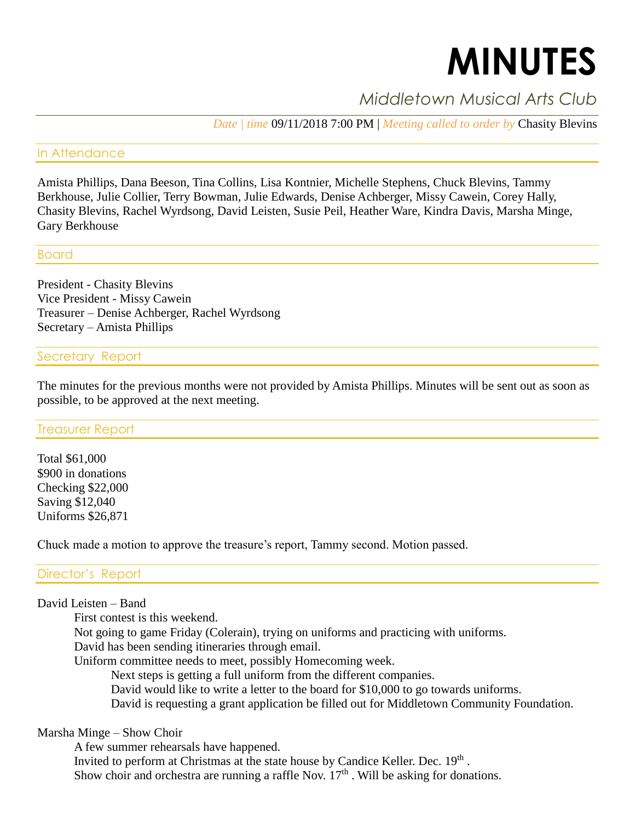# **MINUTES**

# *Middletown Musical Arts Club*

*Date | time* 09/11/2018 7:00 PM | *Meeting called to order by* Chasity Blevins

# In Attendance

Amista Phillips, Dana Beeson, Tina Collins, Lisa Kontnier, Michelle Stephens, Chuck Blevins, Tammy Berkhouse, Julie Collier, Terry Bowman, Julie Edwards, Denise Achberger, Missy Cawein, Corey Hally, Chasity Blevins, Rachel Wyrdsong, David Leisten, Susie Peil, Heather Ware, Kindra Davis, Marsha Minge, Gary Berkhouse

# Board

President - Chasity Blevins Vice President - Missy Cawein Treasurer – Denise Achberger, Rachel Wyrdsong Secretary – Amista Phillips

# Secretary Report

The minutes for the previous months were not provided by Amista Phillips. Minutes will be sent out as soon as possible, to be approved at the next meeting.

## Treasurer Report

Total \$61,000 \$900 in donations Checking \$22,000 Saving \$12,040 Uniforms \$26,871

Chuck made a motion to approve the treasure's report, Tammy second. Motion passed.

# Director's Report

## David Leisten – Band

First contest is this weekend. Not going to game Friday (Colerain), trying on uniforms and practicing with uniforms. David has been sending itineraries through email. Uniform committee needs to meet, possibly Homecoming week. Next steps is getting a full uniform from the different companies. David would like to write a letter to the board for \$10,000 to go towards uniforms. David is requesting a grant application be filled out for Middletown Community Foundation.

## Marsha Minge – Show Choir

A few summer rehearsals have happened. Invited to perform at Christmas at the state house by Candice Keller. Dec. 19<sup>th</sup>. Show choir and orchestra are running a raffle Nov.  $17<sup>th</sup>$ . Will be asking for donations.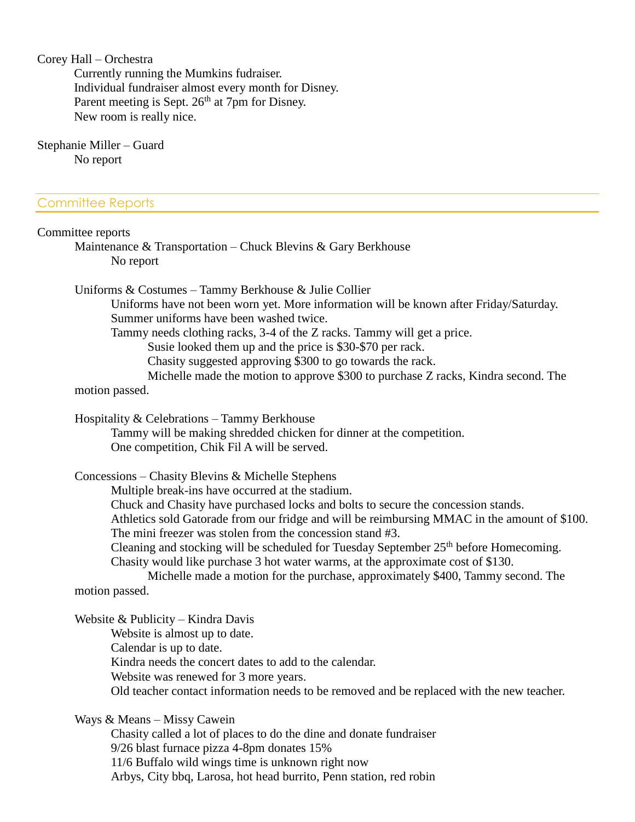Corey Hall – Orchestra

Currently running the Mumkins fudraiser. Individual fundraiser almost every month for Disney. Parent meeting is Sept. 26<sup>th</sup> at 7pm for Disney. New room is really nice.

Stephanie Miller – Guard No report

#### Committee Reports

#### Committee reports

Maintenance & Transportation – Chuck Blevins & Gary Berkhouse No report

Uniforms & Costumes – Tammy Berkhouse & Julie Collier

Uniforms have not been worn yet. More information will be known after Friday/Saturday. Summer uniforms have been washed twice.

Tammy needs clothing racks, 3-4 of the Z racks. Tammy will get a price.

Susie looked them up and the price is \$30-\$70 per rack.

Chasity suggested approving \$300 to go towards the rack.

Michelle made the motion to approve \$300 to purchase Z racks, Kindra second. The motion passed.

Hospitality & Celebrations – Tammy Berkhouse

Tammy will be making shredded chicken for dinner at the competition. One competition, Chik Fil A will be served.

Concessions – Chasity Blevins & Michelle Stephens

Multiple break-ins have occurred at the stadium.

Chuck and Chasity have purchased locks and bolts to secure the concession stands.

Athletics sold Gatorade from our fridge and will be reimbursing MMAC in the amount of \$100. The mini freezer was stolen from the concession stand #3.

Cleaning and stocking will be scheduled for Tuesday September 25<sup>th</sup> before Homecoming. Chasity would like purchase 3 hot water warms, at the approximate cost of \$130.

Michelle made a motion for the purchase, approximately \$400, Tammy second. The motion passed.

Website & Publicity – Kindra Davis Website is almost up to date. Calendar is up to date. Kindra needs the concert dates to add to the calendar. Website was renewed for 3 more years. Old teacher contact information needs to be removed and be replaced with the new teacher.

Ways & Means – Missy Cawein

Chasity called a lot of places to do the dine and donate fundraiser 9/26 blast furnace pizza 4-8pm donates 15% 11/6 Buffalo wild wings time is unknown right now Arbys, City bbq, Larosa, hot head burrito, Penn station, red robin